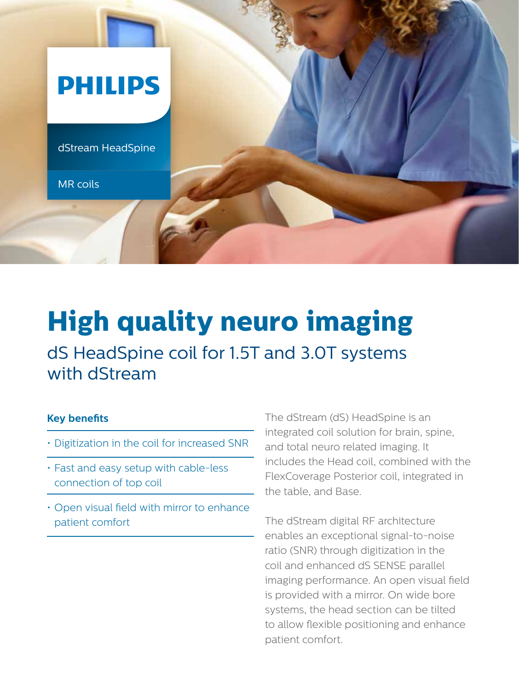

## **High quality neuro imaging** dS HeadSpine coil for 1.5T and 3.0T systems with dStream

## **Key benefits**

- Digitization in the coil for increased SNR
- Fast and easy setup with cable-less connection of top coil
- Open visual field with mirror to enhance patient comfort

The dStream (dS) HeadSpine is an integrated coil solution for brain, spine, and total neuro related imaging. It includes the Head coil, combined with the FlexCoverage Posterior coil, integrated in the table, and Base.

The dStream digital RF architecture enables an exceptional signal-to-noise ratio (SNR) through digitization in the coil and enhanced dS SENSE parallel imaging performance. An open visual field is provided with a mirror. On wide bore systems, the head section can be tilted to allow flexible positioning and enhance patient comfort.